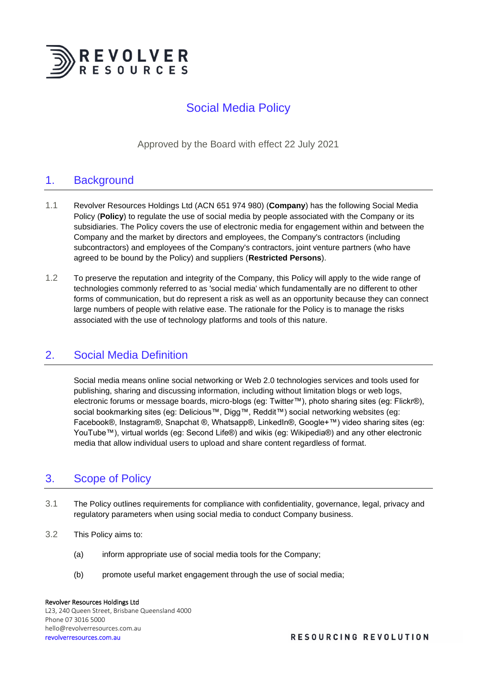

# Social Media Policy

Approved by the Board with effect 22 July 2021

# 1. Background

- 1.1 Revolver Resources Holdings Ltd (ACN 651 974 980) (**Company**) has the following Social Media Policy (**Policy**) to regulate the use of social media by people associated with the Company or its subsidiaries. The Policy covers the use of electronic media for engagement within and between the Company and the market by directors and employees, the Company's contractors (including subcontractors) and employees of the Company's contractors, joint venture partners (who have agreed to be bound by the Policy) and suppliers (**Restricted Persons**).
- 1.2 To preserve the reputation and integrity of the Company, this Policy will apply to the wide range of technologies commonly referred to as 'social media' which fundamentally are no different to other forms of communication, but do represent a risk as well as an opportunity because they can connect large numbers of people with relative ease. The rationale for the Policy is to manage the risks associated with the use of technology platforms and tools of this nature.

### 2. Social Media Definition

Social media means online social networking or Web 2.0 technologies services and tools used for publishing, sharing and discussing information, including without limitation blogs or web logs, electronic forums or message boards, micro-blogs (eg: Twitter™), photo sharing sites (eg: Flickr®), social bookmarking sites (eg: Delicious™, Digg™, Reddit™) social networking websites (eg: Facebook®, Instagram®, Snapchat ®, Whatsapp®, LinkedIn®, Google+™) video sharing sites (eg: YouTube™), virtual worlds (eg: Second Life®) and wikis (eg: Wikipedia®) and any other electronic media that allow individual users to upload and share content regardless of format.

# 3. Scope of Policy

- 3.1 The Policy outlines requirements for compliance with confidentiality, governance, legal, privacy and regulatory parameters when using social media to conduct Company business.
- 3.2 This Policy aims to:
	- (a) inform appropriate use of social media tools for the Company;
	- (b) promote useful market engagement through the use of social media;

#### Revolver Resources Holdings Ltd L23, 240 Queen Street, Brisbane Queensland 4000 Phone 07 3016 5000 hello@revolverresources.com.au revolverresources.com.au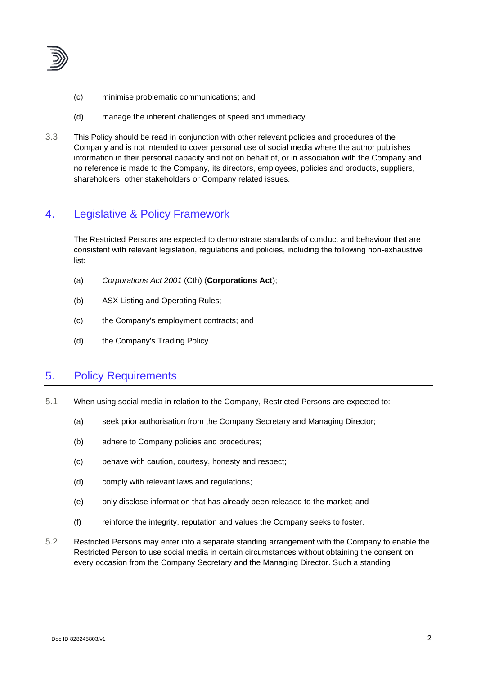

- (c) minimise problematic communications; and
- (d) manage the inherent challenges of speed and immediacy.
- 3.3 This Policy should be read in conjunction with other relevant policies and procedures of the Company and is not intended to cover personal use of social media where the author publishes information in their personal capacity and not on behalf of, or in association with the Company and no reference is made to the Company, its directors, employees, policies and products, suppliers, shareholders, other stakeholders or Company related issues.

# 4. Legislative & Policy Framework

The Restricted Persons are expected to demonstrate standards of conduct and behaviour that are consistent with relevant legislation, regulations and policies, including the following non-exhaustive list:

- (a) *Corporations Act 2001* (Cth) (**Corporations Act**);
- (b) ASX Listing and Operating Rules;
- (c) the Company's employment contracts; and
- (d) the Company's Trading Policy.

# 5. Policy Requirements

- 5.1 When using social media in relation to the Company, Restricted Persons are expected to:
	- (a) seek prior authorisation from the Company Secretary and Managing Director;
	- (b) adhere to Company policies and procedures;
	- (c) behave with caution, courtesy, honesty and respect;
	- (d) comply with relevant laws and regulations;
	- (e) only disclose information that has already been released to the market; and
	- (f) reinforce the integrity, reputation and values the Company seeks to foster.
- 5.2 Restricted Persons may enter into a separate standing arrangement with the Company to enable the Restricted Person to use social media in certain circumstances without obtaining the consent on every occasion from the Company Secretary and the Managing Director. Such a standing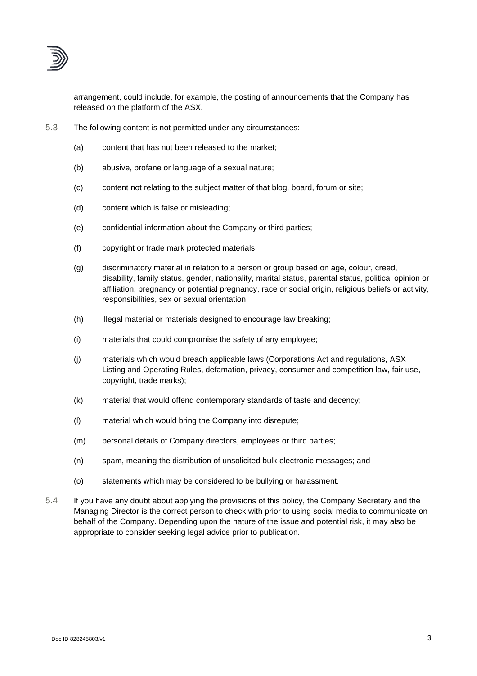

arrangement, could include, for example, the posting of announcements that the Company has released on the platform of the ASX.

- 5.3 The following content is not permitted under any circumstances:
	- (a) content that has not been released to the market;
	- (b) abusive, profane or language of a sexual nature;
	- (c) content not relating to the subject matter of that blog, board, forum or site;
	- (d) content which is false or misleading;
	- (e) confidential information about the Company or third parties;
	- (f) copyright or trade mark protected materials;
	- (g) discriminatory material in relation to a person or group based on age, colour, creed, disability, family status, gender, nationality, marital status, parental status, political opinion or affiliation, pregnancy or potential pregnancy, race or social origin, religious beliefs or activity, responsibilities, sex or sexual orientation;
	- (h) illegal material or materials designed to encourage law breaking;
	- (i) materials that could compromise the safety of any employee;
	- (j) materials which would breach applicable laws (Corporations Act and regulations, ASX Listing and Operating Rules, defamation, privacy, consumer and competition law, fair use, copyright, trade marks);
	- (k) material that would offend contemporary standards of taste and decency;
	- (l) material which would bring the Company into disrepute;
	- (m) personal details of Company directors, employees or third parties;
	- (n) spam, meaning the distribution of unsolicited bulk electronic messages; and
	- (o) statements which may be considered to be bullying or harassment.
- 5.4 If you have any doubt about applying the provisions of this policy, the Company Secretary and the Managing Director is the correct person to check with prior to using social media to communicate on behalf of the Company. Depending upon the nature of the issue and potential risk, it may also be appropriate to consider seeking legal advice prior to publication.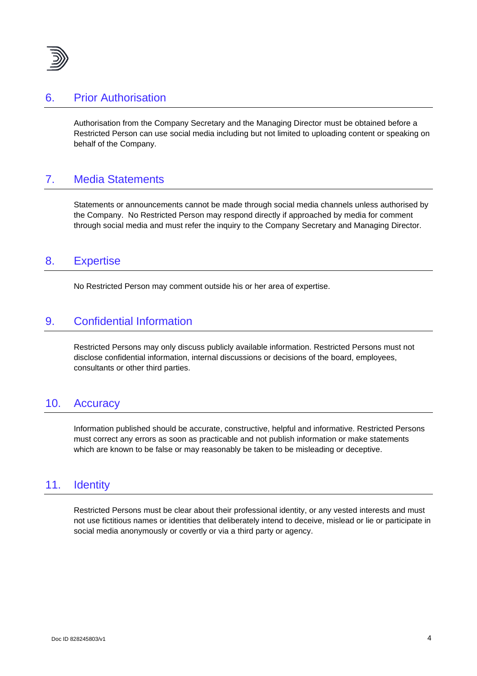

#### 6. Prior Authorisation

Authorisation from the Company Secretary and the Managing Director must be obtained before a Restricted Person can use social media including but not limited to uploading content or speaking on behalf of the Company.

# 7. Media Statements

Statements or announcements cannot be made through social media channels unless authorised by the Company. No Restricted Person may respond directly if approached by media for comment through social media and must refer the inquiry to the Company Secretary and Managing Director.

#### 8. Expertise

No Restricted Person may comment outside his or her area of expertise.

# 9. Confidential Information

Restricted Persons may only discuss publicly available information. Restricted Persons must not disclose confidential information, internal discussions or decisions of the board, employees, consultants or other third parties.

#### 10. Accuracy

Information published should be accurate, constructive, helpful and informative. Restricted Persons must correct any errors as soon as practicable and not publish information or make statements which are known to be false or may reasonably be taken to be misleading or deceptive.

#### 11. Identity

Restricted Persons must be clear about their professional identity, or any vested interests and must not use fictitious names or identities that deliberately intend to deceive, mislead or lie or participate in social media anonymously or covertly or via a third party or agency.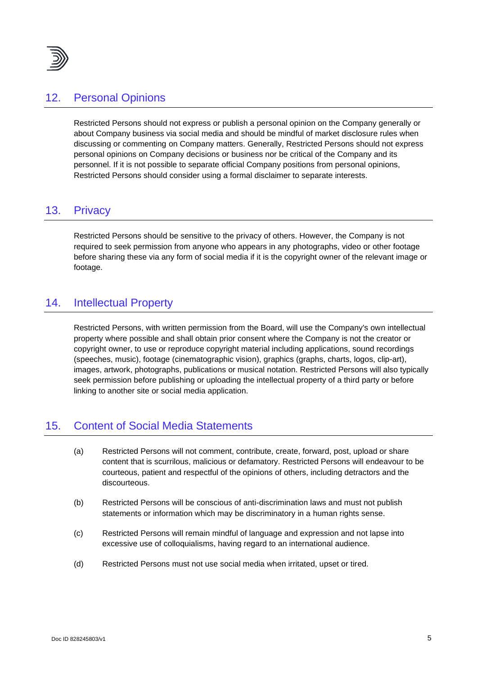

### 12. Personal Opinions

Restricted Persons should not express or publish a personal opinion on the Company generally or about Company business via social media and should be mindful of market disclosure rules when discussing or commenting on Company matters. Generally, Restricted Persons should not express personal opinions on Company decisions or business nor be critical of the Company and its personnel. If it is not possible to separate official Company positions from personal opinions, Restricted Persons should consider using a formal disclaimer to separate interests.

### 13. Privacy

Restricted Persons should be sensitive to the privacy of others. However, the Company is not required to seek permission from anyone who appears in any photographs, video or other footage before sharing these via any form of social media if it is the copyright owner of the relevant image or footage.

# 14. Intellectual Property

Restricted Persons, with written permission from the Board, will use the Company's own intellectual property where possible and shall obtain prior consent where the Company is not the creator or copyright owner, to use or reproduce copyright material including applications, sound recordings (speeches, music), footage (cinematographic vision), graphics (graphs, charts, logos, clip-art), images, artwork, photographs, publications or musical notation. Restricted Persons will also typically seek permission before publishing or uploading the intellectual property of a third party or before linking to another site or social media application.

# 15. Content of Social Media Statements

- (a) Restricted Persons will not comment, contribute, create, forward, post, upload or share content that is scurrilous, malicious or defamatory. Restricted Persons will endeavour to be courteous, patient and respectful of the opinions of others, including detractors and the discourteous.
- (b) Restricted Persons will be conscious of anti-discrimination laws and must not publish statements or information which may be discriminatory in a human rights sense.
- (c) Restricted Persons will remain mindful of language and expression and not lapse into excessive use of colloquialisms, having regard to an international audience.
- (d) Restricted Persons must not use social media when irritated, upset or tired.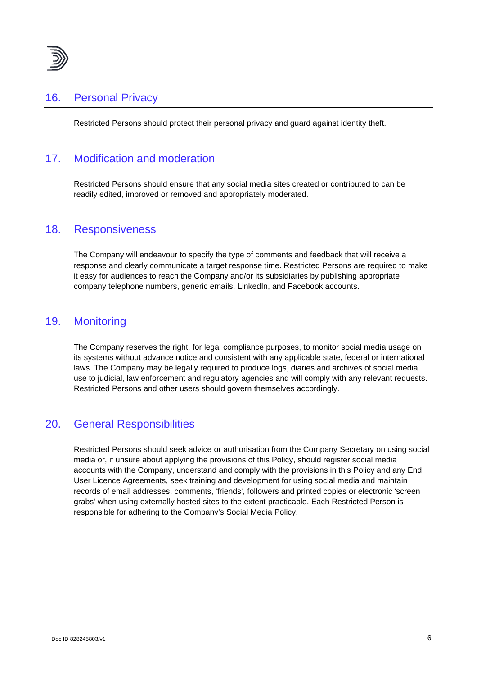

# 16. Personal Privacy

Restricted Persons should protect their personal privacy and guard against identity theft.

# 17. Modification and moderation

Restricted Persons should ensure that any social media sites created or contributed to can be readily edited, improved or removed and appropriately moderated.

#### 18. Responsiveness

The Company will endeavour to specify the type of comments and feedback that will receive a response and clearly communicate a target response time. Restricted Persons are required to make it easy for audiences to reach the Company and/or its subsidiaries by publishing appropriate company telephone numbers, generic emails, LinkedIn, and Facebook accounts.

### 19. Monitoring

The Company reserves the right, for legal compliance purposes, to monitor social media usage on its systems without advance notice and consistent with any applicable state, federal or international laws. The Company may be legally required to produce logs, diaries and archives of social media use to judicial, law enforcement and regulatory agencies and will comply with any relevant requests. Restricted Persons and other users should govern themselves accordingly.

### 20. General Responsibilities

Restricted Persons should seek advice or authorisation from the Company Secretary on using social media or, if unsure about applying the provisions of this Policy, should register social media accounts with the Company, understand and comply with the provisions in this Policy and any End User Licence Agreements, seek training and development for using social media and maintain records of email addresses, comments, 'friends', followers and printed copies or electronic 'screen grabs' when using externally hosted sites to the extent practicable. Each Restricted Person is responsible for adhering to the Company's Social Media Policy.